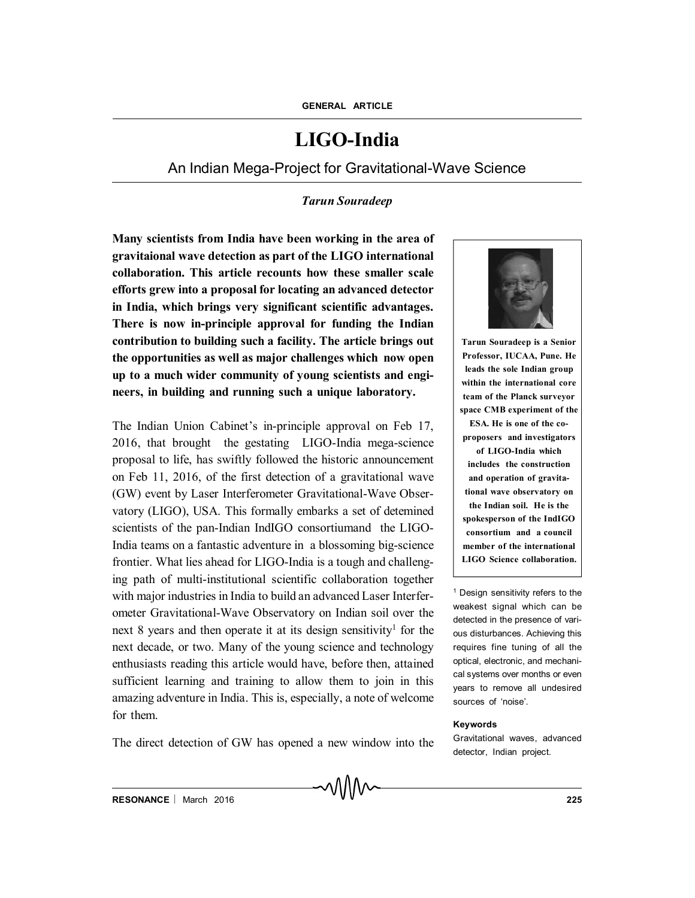## **LIGO-India**

An Indian Mega-Project for Gravitational-Wave Science

## *Tarun Souradeep*

**Many scientists from India have been working in the area of gravitaional wave detection as part of the LIGO international collaboration. This article recounts how these smaller scale efforts grew into a proposal for locating an advanced detector in India, which brings very significant scientific advantages. There is now in-principle approval for funding the Indian contribution to building such a facility. The article brings out the opportunities as well as major challenges which now open up to a much wider community of young scientists and engineers, in building and running such a unique laboratory.**

The Indian Union Cabinet's in-principle approval on Feb 17, 2016, that brought the gestating LIGO-India mega-science proposal to life, has swiftly followed the historic announcement on Feb 11, 2016, of the first detection of a gravitational wave (GW) event by Laser Interferometer Gravitational-Wave Observatory (LIGO), USA. This formally embarks a set of detemined scientists of the pan-Indian IndIGO consortiumand the LIGO-India teams on a fantastic adventure in a blossoming big-science frontier. What lies ahead for LIGO-India is a tough and challenging path of multi-institutional scientific collaboration together with major industries in India to build an advanced Laser Interferometer Gravitational-Wave Observatory on Indian soil over the next 8 years and then operate it at its design sensitivity<sup>1</sup> for the next decade, or two. Many of the young science and technology enthusiasts reading this article would have, before then, attained sufficient learning and training to allow them to join in this amazing adventure in India. This is, especially, a note of welcome for them.

The direct detection of GW has opened a new window into the



**Tarun Souradeep is a Senior Professor, IUCAA, Pune. He leads the sole Indian group within the international core team of the Planck surveyor space CMB experiment of the**

**ESA. He is one of the coproposers and investigators**

**of LIGO-India which includes the construction and operation of gravitational wave observatory on the Indian soil. He is the spokesperson of the IndIGO consortium and a council member of the international LIGO Science collaboration.**

<sup>1</sup> Design sensitivity refers to the weakest signal which can be detected in the presence of various disturbances. Achieving this requires fine tuning of all the optical, electronic, and mechanical systems over months or even years to remove all undesired sources of 'noise'.

## **Keywords**

Gravitational waves, advanced detector, Indian project.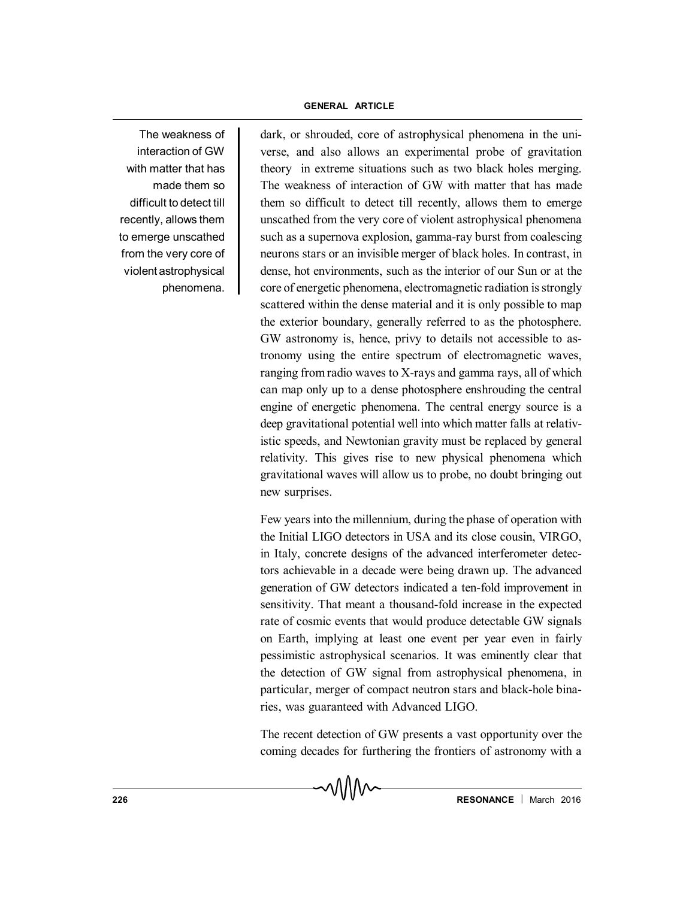The weakness of interaction of GW with matter that has made them so difficult to detect till recently, allows them to emerge unscathed from the very core of violent astrophysical phenomena.

dark, or shrouded, core of astrophysical phenomena in the universe, and also allows an experimental probe of gravitation theory in extreme situations such as two black holes merging. The weakness of interaction of GW with matter that has made them so difficult to detect till recently, allows them to emerge unscathed from the very core of violent astrophysical phenomena such as a supernova explosion, gamma-ray burst from coalescing neurons stars or an invisible merger of black holes. In contrast, in dense, hot environments, such as the interior of our Sun or at the core of energetic phenomena, electromagnetic radiation is strongly scattered within the dense material and it is only possible to map the exterior boundary, generally referred to as the photosphere. GW astronomy is, hence, privy to details not accessible to astronomy using the entire spectrum of electromagnetic waves, ranging from radio waves to X-rays and gamma rays, all of which can map only up to a dense photosphere enshrouding the central engine of energetic phenomena. The central energy source is a deep gravitational potential well into which matter falls at relativistic speeds, and Newtonian gravity must be replaced by general relativity. This gives rise to new physical phenomena which gravitational waves will allow us to probe, no doubt bringing out new surprises.

Few years into the millennium, during the phase of operation with the Initial LIGO detectors in USA and its close cousin, VIRGO, in Italy, concrete designs of the advanced interferometer detectors achievable in a decade were being drawn up. The advanced generation of GW detectors indicated a ten-fold improvement in sensitivity. That meant a thousand-fold increase in the expected rate of cosmic events that would produce detectable GW signals on Earth, implying at least one event per year even in fairly pessimistic astrophysical scenarios. It was eminently clear that the detection of GW signal from astrophysical phenomena, in particular, merger of compact neutron stars and black-hole binaries, was guaranteed with Advanced LIGO.

The recent detection of GW presents a vast opportunity over the coming decades for furthering the frontiers of astronomy with a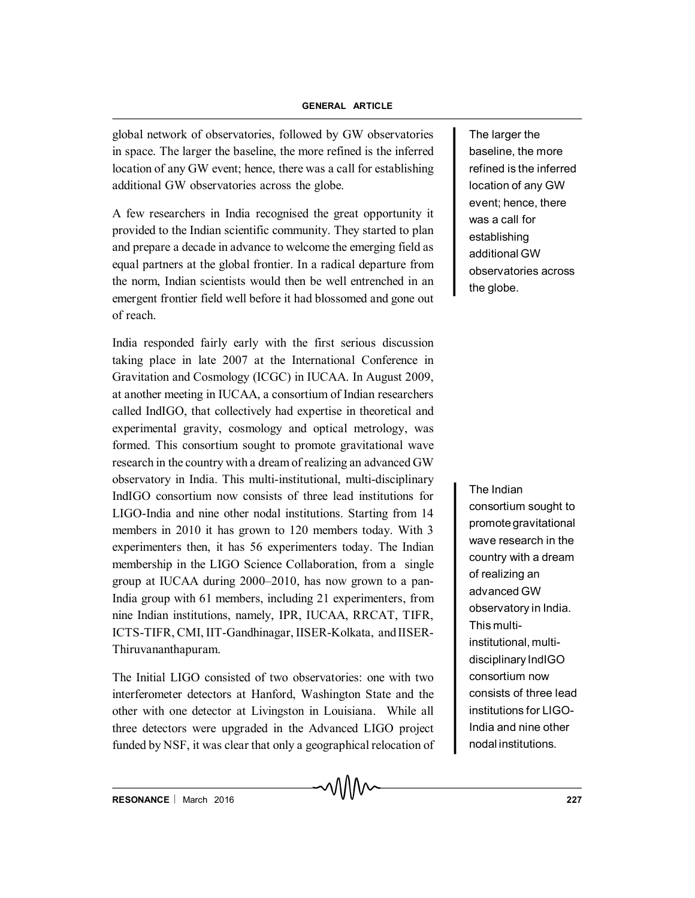global network of observatories, followed by GW observatories in space. The larger the baseline, the more refined is the inferred location of any GW event; hence, there was a call for establishing additional GW observatories across the globe.

A few researchers in India recognised the great opportunity it provided to the Indian scientific community. They started to plan and prepare a decade in advance to welcome the emerging field as equal partners at the global frontier. In a radical departure from the norm, Indian scientists would then be well entrenched in an emergent frontier field well before it had blossomed and gone out of reach.

India responded fairly early with the first serious discussion taking place in late 2007 at the International Conference in Gravitation and Cosmology (ICGC) in IUCAA. In August 2009, at another meeting in IUCAA, a consortium of Indian researchers called IndIGO, that collectively had expertise in theoretical and experimental gravity, cosmology and optical metrology, was formed. This consortium sought to promote gravitational wave research in the country with a dream of realizing an advanced GW observatory in India. This multi-institutional, multi-disciplinary IndIGO consortium now consists of three lead institutions for LIGO-India and nine other nodal institutions. Starting from 14 members in 2010 it has grown to 120 members today. With 3 experimenters then, it has 56 experimenters today. The Indian membership in the LIGO Science Collaboration, from a single group at IUCAA during 2000–2010, has now grown to a pan-India group with 61 members, including 21 experimenters, from nine Indian institutions, namely, IPR, IUCAA, RRCAT, TIFR, ICTS-TIFR, CMI, IIT-Gandhinagar, IISER-Kolkata, and IISER-Thiruvananthapuram.

The Initial LIGO consisted of two observatories: one with two interferometer detectors at Hanford, Washington State and the other with one detector at Livingston in Louisiana. While all three detectors were upgraded in the Advanced LIGO project funded by NSF, it was clear that only a geographical relocation of The larger the baseline, the more refined is the inferred location of any GW event; hence, there was a call for establishing additional GW observatories across the globe.

The Indian consortium sought to promote gravitational wave research in the country with a dream of realizing an advanced GW observatory in India. This multiinstitutional, multidisciplinary IndIGO consortium now consists of three lead institutions for LIGO-India and nine other nodal institutions.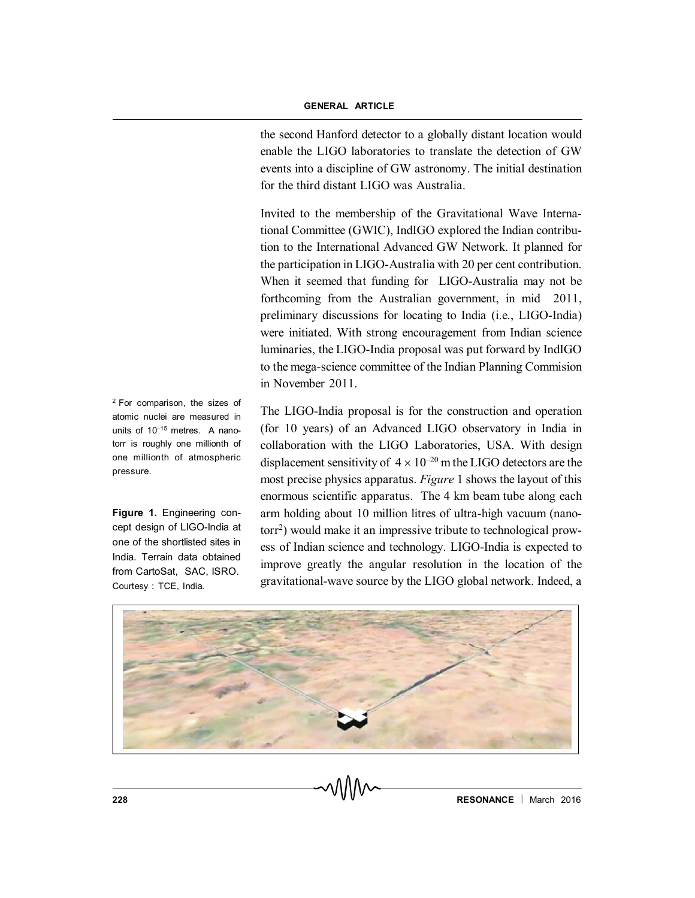the second Hanford detector to a globally distant location would enable the LIGO laboratories to translate the detection of GW events into a discipline of GW astronomy. The initial destination for the third distant LIGO was Australia.

Invited to the membership of the Gravitational Wave International Committee (GWIC), IndIGO explored the Indian contribution to the International Advanced GW Network. It planned for the participation in LIGO-Australia with 20 per cent contribution. When it seemed that funding for LIGO-Australia may not be forthcoming from the Australian government, in mid 2011, preliminary discussions for locating to India (i.e., LIGO-India) were initiated. With strong encouragement from Indian science luminaries, the LIGO-India proposal was put forward by IndIGO to the mega-science committee of the Indian Planning Commision in November 2011.

The LIGO-India proposal is for the construction and operation (for 10 years) of an Advanced LIGO observatory in India in collaboration with the LIGO Laboratories, USA. With design displacement sensitivity of  $4 \times 10^{-20}$  m the LIGO detectors are the most precise physics apparatus. *Figure* 1 shows the layout of this enormous scientific apparatus. The 4 km beam tube along each arm holding about 10 million litres of ultra-high vacuum (nanotorr<sup>2</sup> ) would make it an impressive tribute to technological prowess of Indian science and technology. LIGO-India is expected to improve greatly the angular resolution in the location of the gravitational-wave source by the LIGO global network. Indeed, a



 $2$  For comparison, the sizes of atomic nuclei are measured in units of 10–15 metres. A nanotorr is roughly one millionth of one millionth of atmospheric pressure.

**Figure 1.** Engineering concept design of LIGO-India at one of the shortlisted sites in India. Terrain data obtained from CartoSat, SAC, ISRO. Courtesy : TCE, India.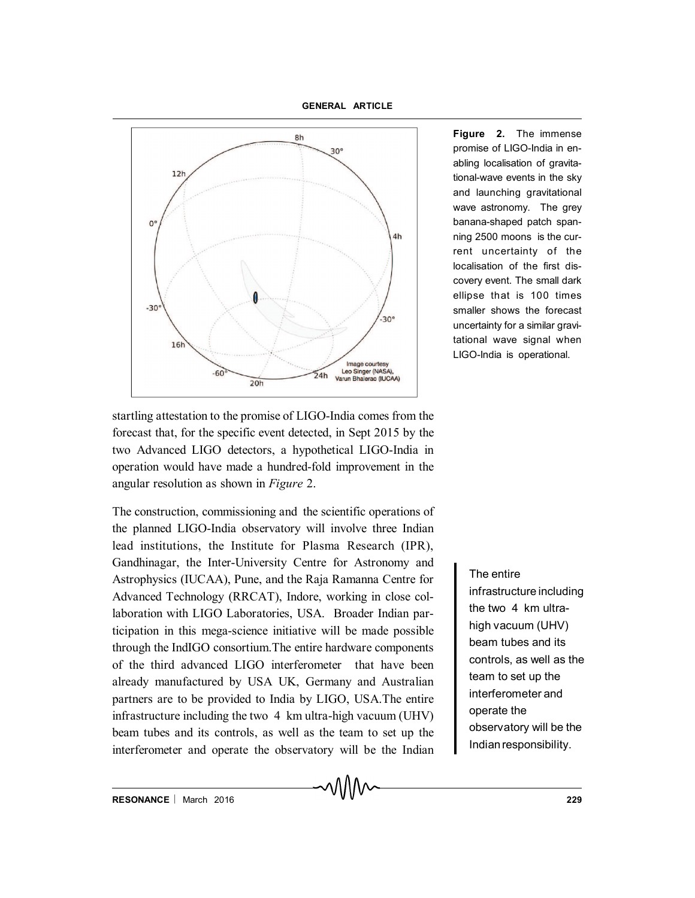

**Figure 2.** The immense promise of LIGO-India in enabling localisation of gravitational-wave events in the sky and launching gravitational wave astronomy. The grey banana-shaped patch spanning 2500 moons is the current uncertainty of the localisation of the first discovery event. The small dark ellipse that is 100 times smaller shows the forecast uncertainty for a similar gravitational wave signal when LIGO-India is operational.

startling attestation to the promise of LIGO-India comes from the forecast that, for the specific event detected, in Sept 2015 by the two Advanced LIGO detectors, a hypothetical LIGO-India in operation would have made a hundred-fold improvement in the angular resolution as shown in *Figure* 2.

The construction, commissioning and the scientific operations of the planned LIGO-India observatory will involve three Indian lead institutions, the Institute for Plasma Research (IPR), Gandhinagar, the Inter-University Centre for Astronomy and Astrophysics (IUCAA), Pune, and the Raja Ramanna Centre for Advanced Technology (RRCAT), Indore, working in close collaboration with LIGO Laboratories, USA. Broader Indian participation in this mega-science initiative will be made possible through the IndIGO consortium.The entire hardware components of the third advanced LIGO interferometer that have been already manufactured by USA UK, Germany and Australian partners are to be provided to India by LIGO, USA.The entire infrastructure including the two 4 km ultra-high vacuum (UHV) beam tubes and its controls, as well as the team to set up the interferometer and operate the observatory will be the Indian

The entire

infrastructure including the two 4 km ultrahigh vacuum (UHV) beam tubes and its controls, as well as the team to set up the interferometer and operate the observatory will be the Indian responsibility.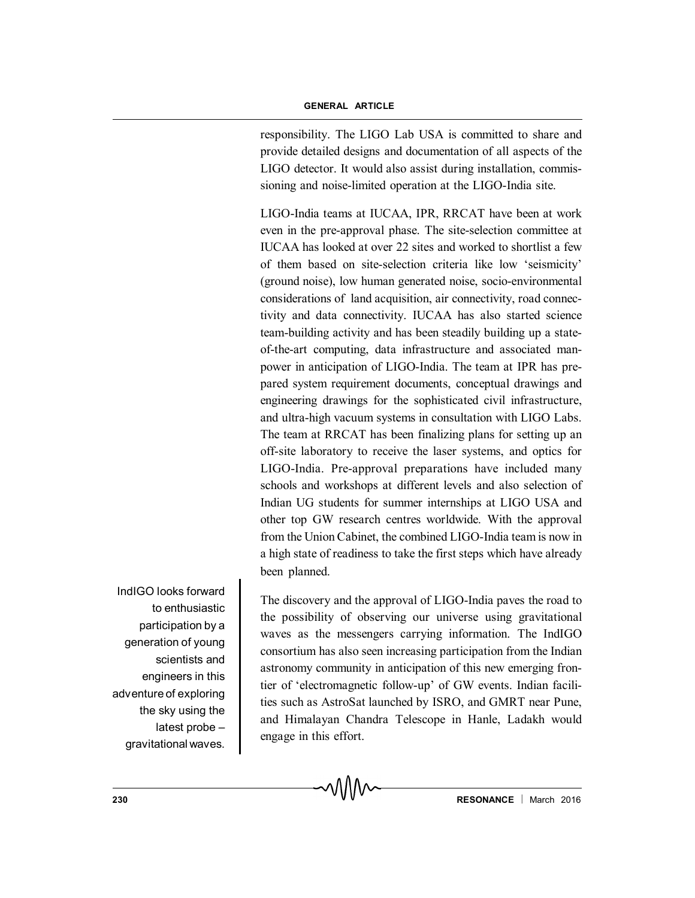responsibility. The LIGO Lab USA is committed to share and provide detailed designs and documentation of all aspects of the LIGO detector. It would also assist during installation, commissioning and noise-limited operation at the LIGO-India site.

LIGO-India teams at IUCAA, IPR, RRCAT have been at work even in the pre-approval phase. The site-selection committee at IUCAA has looked at over 22 sites and worked to shortlist a few of them based on site-selection criteria like low 'seismicity' (ground noise), low human generated noise, socio-environmental considerations of land acquisition, air connectivity, road connectivity and data connectivity. IUCAA has also started science team-building activity and has been steadily building up a stateof-the-art computing, data infrastructure and associated manpower in anticipation of LIGO-India. The team at IPR has prepared system requirement documents, conceptual drawings and engineering drawings for the sophisticated civil infrastructure, and ultra-high vacuum systems in consultation with LIGO Labs. The team at RRCAT has been finalizing plans for setting up an off-site laboratory to receive the laser systems, and optics for LIGO-India. Pre-approval preparations have included many schools and workshops at different levels and also selection of Indian UG students for summer internships at LIGO USA and other top GW research centres worldwide. With the approval from the Union Cabinet, the combined LIGO-India team is now in a high state of readiness to take the first steps which have already been planned.

IndIGO looks forward to enthusiastic participation by a generation of young scientists and engineers in this adventure of exploring the sky using the latest probe – gravitational waves.

The discovery and the approval of LIGO-India paves the road to the possibility of observing our universe using gravitational waves as the messengers carrying information. The IndIGO consortium has also seen increasing participation from the Indian astronomy community in anticipation of this new emerging frontier of 'electromagnetic follow-up' of GW events. Indian facilities such as AstroSat launched by ISRO, and GMRT near Pune, and Himalayan Chandra Telescope in Hanle, Ladakh would engage in this effort.